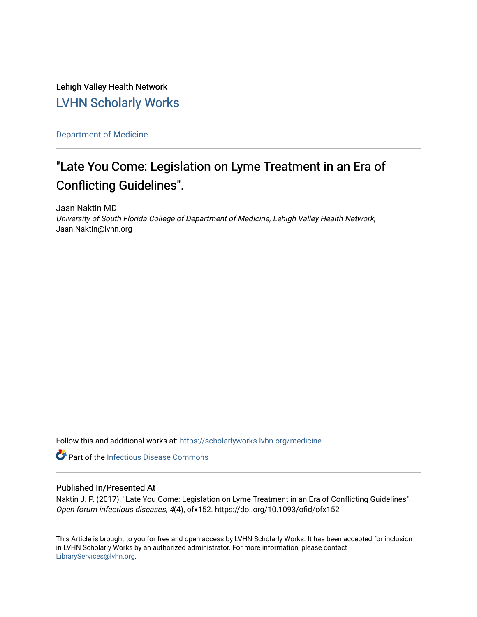Lehigh Valley Health Network [LVHN Scholarly Works](https://scholarlyworks.lvhn.org/)

[Department of Medicine](https://scholarlyworks.lvhn.org/medicine) 

## "Late You Come: Legislation on Lyme Treatment in an Era of Conflicting Guidelines".

Jaan Naktin MD University of South Florida College of Department of Medicine, Lehigh Valley Health Network, Jaan.Naktin@lvhn.org

Follow this and additional works at: [https://scholarlyworks.lvhn.org/medicine](https://scholarlyworks.lvhn.org/medicine?utm_source=scholarlyworks.lvhn.org%2Fmedicine%2F1858&utm_medium=PDF&utm_campaign=PDFCoverPages) 

**C** Part of the Infectious Disease Commons

### Published In/Presented At

Naktin J. P. (2017). "Late You Come: Legislation on Lyme Treatment in an Era of Conflicting Guidelines". Open forum infectious diseases, 4(4), ofx152. https://doi.org/10.1093/ofid/ofx152

This Article is brought to you for free and open access by LVHN Scholarly Works. It has been accepted for inclusion in LVHN Scholarly Works by an authorized administrator. For more information, please contact [LibraryServices@lvhn.org](mailto:LibraryServices@lvhn.org).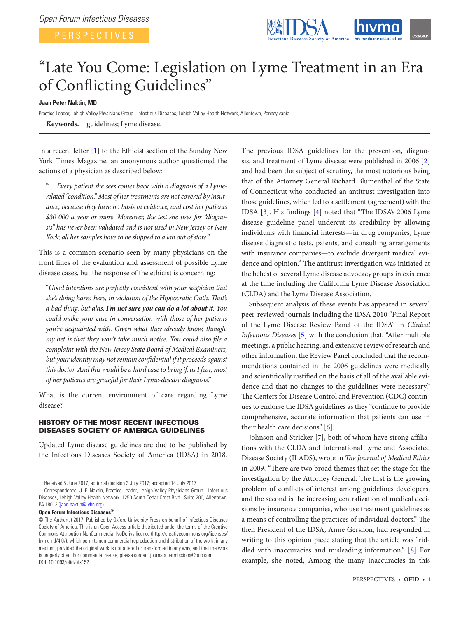

# "Late You Come: Legislation on Lyme Treatment in an Era of Conflicting Guidelines"

**Jaan Peter Naktin, MD**

Practice Leader, Lehigh Valley Physicians Group - Infectious Diseases, Lehigh Valley Health Network, Allentown, Pennsylvania **Keywords.** guidelines; Lyme disease.

In a recent letter [[1](#page-5-0)] to the Ethicist section of the Sunday New York Times Magazine, an anonymous author questioned the actions of a physician as described below:

"… *Every patient she sees comes back with a diagnosis of a Lymerelated "condition." Most of her treatments are not covered by insurance, because they have no basis in evidence, and cost her patients \$30 000 a year or more. Moreover, the test she uses for "diagnosis" has never been validated and is not used in New Jersey or New York; all her samples have to be shipped to a lab out of state."*

This is a common scenario seen by many physicians on the front lines of the evaluation and assessment of possible Lyme disease cases, but the response of the ethicist is concerning:

"*Good intentions are perfectly consistent with your suspicion that she's doing harm here, in violation of the Hippocratic Oath. That's a bad thing, but alas, I'm not sure you can do a lot about it. You could make your case in conversation with those of her patients you're acquainted with. Given what they already know, though, my bet is that they won't take much notice. You could also file a complaint with the New Jersey State Board of Medical Examiners, but your identity may not remain confidential if it proceeds against this doctor. And this would be a hard case to bring if, as I fear, most of her patients are grateful for their Lyme-disease diagnosis*."

What is the current environment of care regarding Lyme disease?

### HISTORY OF THE MOST RECENT INFECTIOUS DISEASES SOCIETY OF AMERICA GUIDELINES

Updated Lyme disease guidelines are due to be published by the Infectious Diseases Society of America (IDSA) in 2018.

**Open Forum Infectious Diseases®**

The previous IDSA guidelines for the prevention, diagnosis, and treatment of Lyme disease were published in 2006 [\[2\]](#page-5-1) and had been the subject of scrutiny, the most notorious being that of the Attorney General Richard Blumenthal of the State of Connecticut who conducted an antitrust investigation into those guidelines, which led to a settlement (agreement) with the IDSA [[3](#page-5-2)]. His findings [[4\]](#page-5-3) noted that "The IDSA's 2006 Lyme disease guideline panel undercut its credibility by allowing individuals with financial interests—in drug companies, Lyme disease diagnostic tests, patents, and consulting arrangements with insurance companies—to exclude divergent medical evidence and opinion." The antitrust investigation was initiated at the behest of several Lyme disease advocacy groups in existence at the time including the California Lyme Disease Association (CLDA) and the Lyme Disease Association.

Subsequent analysis of these events has appeared in several peer-reviewed journals including the IDSA 2010 "Final Report of the Lyme Disease Review Panel of the IDSA" in *Clinical Infectious Diseases* [\[5\]](#page-5-4) with the conclusion that, "After multiple meetings, a public hearing, and extensive review of research and other information, the Review Panel concluded that the recommendations contained in the 2006 guidelines were medically and scientifically justified on the basis of all of the available evidence and that no changes to the guidelines were necessary." The Centers for Disease Control and Prevention (CDC) continues to endorse the IDSA guidelines as they "continue to provide comprehensive, accurate information that patients can use in their health care decisions" [[6](#page-5-5)].

Johnson and Stricker [[7](#page-5-6)], both of whom have strong affiliations with the CLDA and International Lyme and Associated Disease Society (ILADS), wrote in *The Journal of Medical Ethics* in 2009, "There are two broad themes that set the stage for the investigation by the Attorney General. The first is the growing problem of conflicts of interest among guidelines developers, and the second is the increasing centralization of medical decisions by insurance companies, who use treatment guidelines as a means of controlling the practices of individual doctors." The then President of the IDSA, Anne Gershon, had responded in writing to this opinion piece stating that the article was "riddled with inaccuracies and misleading information." [[8\]](#page-5-7) For example, she noted, Among the many inaccuracies in this

Received 5 June 2017; editorial decision 3 July 2017; accepted 14 July 2017.

Correspondence: J. P. Naktin, Practice Leader, Lehigh Valley Physicians Group - Infectious Diseases, Lehigh Valley Health Network, 1250 South Cedar Crest Blvd., Suite 200, Allentown, PA 18013 [\(jaan.naktin@lvhn.org\)](mailto:jaan.naktin@lvhn.org?subject=).

<sup>©</sup> The Author(s) 2017. Published by Oxford University Press on behalf of Infectious Diseases Society of America. This is an Open Access article distributed under the terms of the Creative Commons Attribution-NonCommercial-NoDerivs licence (http://creativecommons.org/licenses/ by-nc-nd/4.0/), which permits non-commercial reproduction and distribution of the work, in any medium, provided the original work is not altered or transformed in any way, and that the work is properly cited. For commercial re-use, please contact journals.permissions@oup.com DOI: 10.1093/ofid/ofx152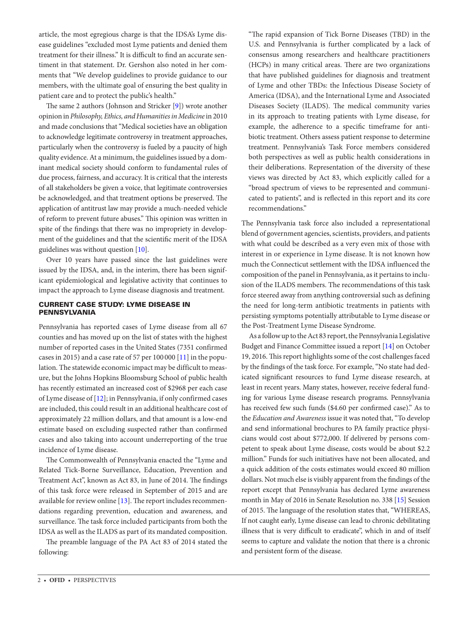article, the most egregious charge is that the IDSA's Lyme disease guidelines "excluded most Lyme patients and denied them treatment for their illness." It is difficult to find an accurate sentiment in that statement. Dr. Gershon also noted in her comments that "We develop guidelines to provide guidance to our members, with the ultimate goal of ensuring the best quality in patient care and to protect the public's health."

The same 2 authors (Johnson and Stricker [[9](#page-5-8)]) wrote another opinion in *Philosophy, Ethics, and Humanities in Medicine* in 2010 and made conclusions that "Medical societies have an obligation to acknowledge legitimate controversy in treatment approaches, particularly when the controversy is fueled by a paucity of high quality evidence. At a minimum, the guidelines issued by a dominant medical society should conform to fundamental rules of due process, fairness, and accuracy. It is critical that the interests of all stakeholders be given a voice, that legitimate controversies be acknowledged, and that treatment options be preserved. The application of antitrust law may provide a much-needed vehicle of reform to prevent future abuses." This opinion was written in spite of the findings that there was no impropriety in development of the guidelines and that the scientific merit of the IDSA guidelines was without question [\[10\]](#page-5-9).

Over 10 years have passed since the last guidelines were issued by the IDSA, and, in the interim, there has been significant epidemiological and legislative activity that continues to impact the approach to Lyme disease diagnosis and treatment.

#### CURRENT CASE STUDY: LYME DISEASE IN PENNSYLVANIA

Pennsylvania has reported cases of Lyme disease from all 67 counties and has moved up on the list of states with the highest number of reported cases in the United States (7351 confirmed cases in 2015) and a case rate of 57 per  $100000$  [\[11](#page-5-10)] in the population. The statewide economic impact may be difficult to measure, but the Johns Hopkins Bloomsburg School of public health has recently estimated an increased cost of \$2968 per each case of Lyme disease of [\[12](#page-5-11)]; in Pennsylvania, if only confirmed cases are included, this could result in an additional healthcare cost of approximately 22 million dollars, and that amount is a low-end estimate based on excluding suspected rather than confirmed cases and also taking into account underreporting of the true incidence of Lyme disease.

The Commonwealth of Pennsylvania enacted the "Lyme and Related Tick-Borne Surveillance, Education, Prevention and Treatment Act", known as Act 83, in June of 2014. The findings of this task force were released in September of 2015 and are available for review online [\[13\]](#page-5-12). The report includes recommendations regarding prevention, education and awareness, and surveillance. The task force included participants from both the IDSA as well as the ILADS as part of its mandated composition.

The preamble language of the PA Act 83 of 2014 stated the following:

"The rapid expansion of Tick Borne Diseases (TBD) in the U.S. and Pennsylvania is further complicated by a lack of consensus among researchers and healthcare practitioners (HCPs) in many critical areas. There are two organizations that have published guidelines for diagnosis and treatment of Lyme and other TBDs: the Infectious Disease Society of America (IDSA), and the International Lyme and Associated Diseases Society (ILADS). The medical community varies in its approach to treating patients with Lyme disease, for example, the adherence to a specific timeframe for antibiotic treatment. Others assess patient response to determine treatment. Pennsylvania's Task Force members considered both perspectives as well as public health considerations in their deliberations. Representation of the diversity of these views was directed by Act 83, which explicitly called for a "broad spectrum of views to be represented and communicated to patients", and is reflected in this report and its core recommendations."

The Pennsylvania task force also included a representational blend of government agencies, scientists, providers, and patients with what could be described as a very even mix of those with interest in or experience in Lyme disease. It is not known how much the Connecticut settlement with the IDSA influenced the composition of the panel in Pennsylvania, as it pertains to inclusion of the ILADS members. The recommendations of this task force steered away from anything controversial such as defining the need for long-term antibiotic treatments in patients with persisting symptoms potentially attributable to Lyme disease or the Post-Treatment Lyme Disease Syndrome.

As a follow up to the Act 83 report, the Pennsylvania Legislative Budget and Finance Committee issued a report [[14\]](#page-5-13) on October 19, 2016. This report highlights some of the cost challenges faced by the findings of the task force. For example, "No state had dedicated significant resources to fund Lyme disease research, at least in recent years. Many states, however, receive federal funding for various Lyme disease research programs. Pennsylvania has received few such funds (\$4.60 per confirmed case)." As to the *Education and Awareness* issue it was noted that, "To develop and send informational brochures to PA family practice physicians would cost about \$772,000. If delivered by persons competent to speak about Lyme disease, costs would be about \$2.2 million." Funds for such initiatives have not been allocated, and a quick addition of the costs estimates would exceed 80 million dollars. Not much else is visibly apparent from the findings of the report except that Pennsylvania has declared Lyme awareness month in May of 2016 in Senate Resolution no. 338 [[15\]](#page-5-14) Session of 2015. The language of the resolution states that, "WHEREAS, If not caught early, Lyme disease can lead to chronic debilitating illness that is very difficult to eradicate", which in and of itself seems to capture and validate the notion that there is a chronic and persistent form of the disease.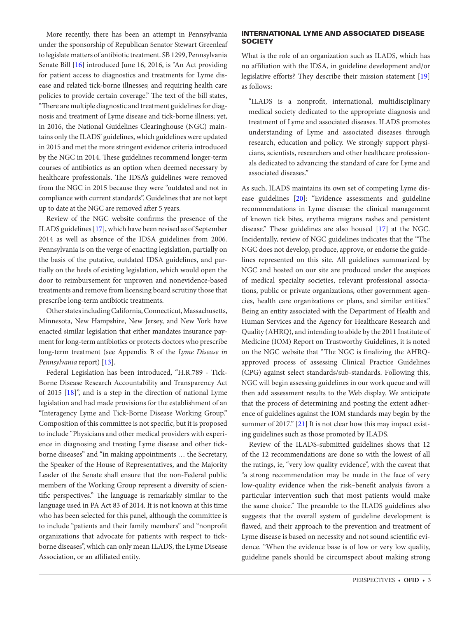More recently, there has been an attempt in Pennsylvania under the sponsorship of Republican Senator Stewart Greenleaf to legislate matters of antibiotic treatment. SB 1299, Pennsylvania Senate Bill [[16\]](#page-5-15) introduced June 16, 2016, is "An Act providing for patient access to diagnostics and treatments for Lyme disease and related tick-borne illnesses; and requiring health care policies to provide certain coverage." The text of the bill states, "There are multiple diagnostic and treatment guidelines for diagnosis and treatment of Lyme disease and tick-borne illness; yet, in 2016, the National Guidelines Clearinghouse (NGC) maintains only the ILADS' guidelines, which guidelines were updated in 2015 and met the more stringent evidence criteria introduced by the NGC in 2014. These guidelines recommend longer-term courses of antibiotics as an option when deemed necessary by healthcare professionals. The IDSA's guidelines were removed from the NGC in 2015 because they were "outdated and not in compliance with current standards". Guidelines that are not kept up to date at the NGC are removed after 5 years.

Review of the NGC website confirms the presence of the ILADS guidelines [[17\]](#page-5-16), which have been revised as of September 2014 as well as absence of the IDSA guidelines from 2006. Pennsylvania is on the verge of enacting legislation, partially on the basis of the putative, outdated IDSA guidelines, and partially on the heels of existing legislation, which would open the door to reimbursement for unproven and nonevidence-based treatments and remove from licensing board scrutiny those that prescribe long-term antibiotic treatments.

Other states including California, Connecticut, Massachusetts, Minnesota, New Hampshire, New Jersey, and New York have enacted similar legislation that either mandates insurance payment for long-term antibiotics or protects doctors who prescribe long-term treatment (see Appendix B of the *Lyme Disease in Pennsylvania* report) [[13\]](#page-5-12).

Federal Legislation has been introduced, "H.R.789 - Tick-Borne Disease Research Accountability and Transparency Act of 2015 [[18\]](#page-5-17)", and is a step in the direction of national Lyme legislation and had made provisions for the establishment of an "Interagency Lyme and Tick-Borne Disease Working Group." Composition of this committee is not specific, but it is proposed to include "Physicians and other medical providers with experience in diagnosing and treating Lyme disease and other tickborne diseases" and "in making appointments … the Secretary, the Speaker of the House of Representatives, and the Majority Leader of the Senate shall ensure that the non-Federal public members of the Working Group represent a diversity of scientific perspectives." The language is remarkably similar to the language used in PA Act 83 of 2014. It is not known at this time who has been selected for this panel, although the committee is to include "patients and their family members" and "nonprofit organizations that advocate for patients with respect to tickborne diseases", which can only mean ILADS, the Lyme Disease Association, or an affiliated entity.

#### INTERNATIONAL LYME AND ASSOCIATED DISEASE **SOCIETY**

What is the role of an organization such as ILADS, which has no affiliation with the IDSA, in guideline development and/or legislative efforts? They describe their mission statement [[19\]](#page-5-18) as follows:

"ILADS is a nonprofit, international, multidisciplinary medical society dedicated to the appropriate diagnosis and treatment of Lyme and associated diseases. ILADS promotes understanding of Lyme and associated diseases through research, education and policy. We strongly support physicians, scientists, researchers and other healthcare professionals dedicated to advancing the standard of care for Lyme and associated diseases."

As such, ILADS maintains its own set of competing Lyme disease guidelines [\[20](#page-5-19)]: "Evidence assessments and guideline recommendations in Lyme disease: the clinical management of known tick bites, erythema migrans rashes and persistent disease." These guidelines are also housed [[17\]](#page-5-16) at the NGC. Incidentally, review of NGC guidelines indicates that the "The NGC does not develop, produce, approve, or endorse the guidelines represented on this site. All guidelines summarized by NGC and hosted on our site are produced under the auspices of medical specialty societies, relevant professional associations, public or private organizations, other government agencies, health care organizations or plans, and similar entities." Being an entity associated with the Department of Health and Human Services and the Agency for Healthcare Research and Quality (AHRQ), and intending to abide by the 2011 Institute of Medicine (IOM) Report on Trustworthy Guidelines, it is noted on the NGC website that "The NGC is finalizing the AHRQapproved process of assessing Clinical Practice Guidelines (CPG) against select standards/sub-standards. Following this, NGC will begin assessing guidelines in our work queue and will then add assessment results to the Web display. We anticipate that the process of determining and posting the extent adherence of guidelines against the IOM standards may begin by the summer of 2017." [[21\]](#page-5-20) It is not clear how this may impact existing guidelines such as those promoted by ILADS.

Review of the ILADS-submitted guidelines shows that 12 of the 12 recommendations are done so with the lowest of all the ratings, ie, "very low quality evidence", with the caveat that "a strong recommendation may be made in the face of very low-quality evidence when the risk–benefit analysis favors a particular intervention such that most patients would make the same choice." The preamble to the ILADS guidelines also suggests that the overall system of guideline development is flawed, and their approach to the prevention and treatment of Lyme disease is based on necessity and not sound scientific evidence. "When the evidence base is of low or very low quality, guideline panels should be circumspect about making strong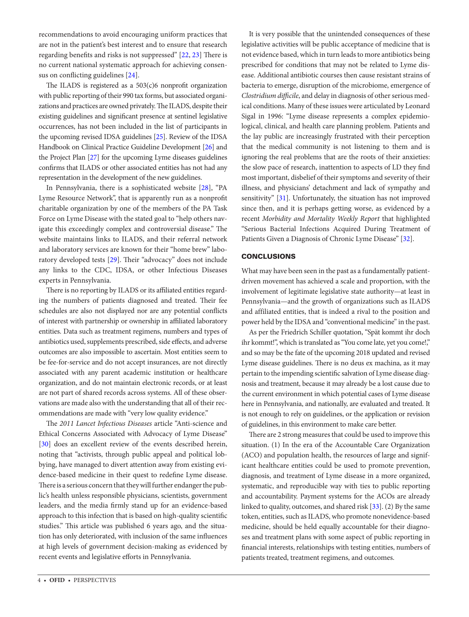recommendations to avoid encouraging uniform practices that are not in the patient's best interest and to ensure that research regarding benefits and risks is not suppressed" [\[22](#page-5-21), [23\]](#page-5-22) There is no current national systematic approach for achieving consensus on conflicting guidelines [\[24](#page-5-23)].

The ILADS is registered as a  $503(c)$ 6 nonprofit organization with public reporting of their 990 tax forms, but associated organizations and practices are owned privately. The ILADS, despite their existing guidelines and significant presence at sentinel legislative occurrences, has not been included in the list of participants in the upcoming revised IDSA guidelines [[25\]](#page-5-24). Review of the IDSA Handbook on Clinical Practice Guideline Development [[26](#page-5-25)] and the Project Plan [\[27\]](#page-5-26) for the upcoming Lyme diseases guidelines confirms that ILADS or other associated entities has not had any representation in the development of the new guidelines.

In Pennsylvania, there is a sophisticated website [\[28](#page-5-27)], "PA Lyme Resource Network", that is apparently run as a nonprofit charitable organization by one of the members of the PA Task Force on Lyme Disease with the stated goal to "help others navigate this exceedingly complex and controversial disease." The website maintains links to ILADS, and their referral network and laboratory services are known for their "home brew" laboratory developed tests [\[29](#page-5-28)]. Their "advocacy" does not include any links to the CDC, IDSA, or other Infectious Diseases experts in Pennsylvania.

There is no reporting by ILADS or its affiliated entities regarding the numbers of patients diagnosed and treated. Their fee schedules are also not displayed nor are any potential conflicts of interest with partnership or ownership in affiliated laboratory entities. Data such as treatment regimens, numbers and types of antibiotics used, supplements prescribed, side effects, and adverse outcomes are also impossible to ascertain. Most entities seem to be fee-for-service and do not accept insurances, are not directly associated with any parent academic institution or healthcare organization, and do not maintain electronic records, or at least are not part of shared records across systems. All of these observations are made also with the understanding that all of their recommendations are made with "very low quality evidence."

The *2011 Lancet Infectious Diseases* article "Anti-science and Ethical Concerns Associated with Advocacy of Lyme Disease" [\[30](#page-5-29)] does an excellent review of the events described herein, noting that "activists, through public appeal and political lobbying, have managed to divert attention away from existing evidence-based medicine in their quest to redefine Lyme disease. There is a serious concern that they will further endanger the public's health unless responsible physicians, scientists, government leaders, and the media firmly stand up for an evidence-based approach to this infection that is based on high-quality scientific studies." This article was published 6 years ago, and the situation has only deteriorated, with inclusion of the same influences at high levels of government decision-making as evidenced by recent events and legislative efforts in Pennsylvania.

It is very possible that the unintended consequences of these legislative activities will be public acceptance of medicine that is not evidence based, which in turn leads to more antibiotics being prescribed for conditions that may not be related to Lyme disease. Additional antibiotic courses then cause resistant strains of bacteria to emerge, disruption of the microbiome, emergence of *Clostridium difficile*, and delay in diagnosis of other serious medical conditions. Many of these issues were articulated by Leonard Sigal in 1996: "Lyme disease represents a complex epidemiological, clinical, and health care planning problem. Patients and the lay public are increasingly frustrated with their perception that the medical community is not listening to them and is ignoring the real problems that are the roots of their anxieties: the slow pace of research, inattention to aspects of LD they find most important, disbelief of their symptoms and severity of their illness, and physicians' detachment and lack of sympathy and sensitivity" [\[31\]](#page-5-30). Unfortunately, the situation has not improved since then, and it is perhaps getting worse, as evidenced by a recent *Morbidity and Mortality Weekly Report* that highlighted "Serious Bacterial Infections Acquired During Treatment of Patients Given a Diagnosis of Chronic Lyme Disease" [[32\]](#page-5-31).

### **CONCLUSIONS**

What may have been seen in the past as a fundamentally patientdriven movement has achieved a scale and proportion, with the involvement of legitimate legislative state authority—at least in Pennsylvania—and the growth of organizations such as ILADS and affiliated entities, that is indeed a rival to the position and power held by the IDSA and "conventional medicine" in the past.

As per the Friedrich Schiller quotation, "Spät kommt ihr doch ihr kommt!", which is translated as "You come late, yet you come!," and so may be the fate of the upcoming 2018 updated and revised Lyme disease guidelines. There is no deus ex machina, as it may pertain to the impending scientific salvation of Lyme disease diagnosis and treatment, because it may already be a lost cause due to the current environment in which potential cases of Lyme disease here in Pennsylvania, and nationally, are evaluated and treated. It is not enough to rely on guidelines, or the application or revision of guidelines, in this environment to make care better.

There are 2 strong measures that could be used to improve this situation. (1) In the era of the Accountable Care Organization (ACO) and population health, the resources of large and significant healthcare entities could be used to promote prevention, diagnosis, and treatment of Lyme disease in a more organized, systematic, and reproducible way with ties to public reporting and accountability. Payment systems for the ACOs are already linked to quality, outcomes, and shared risk [\[33](#page-5-32)]. (2) By the same token, entities, such as ILADS, who promote nonevidence-based medicine, should be held equally accountable for their diagnoses and treatment plans with some aspect of public reporting in financial interests, relationships with testing entities, numbers of patients treated, treatment regimens, and outcomes.